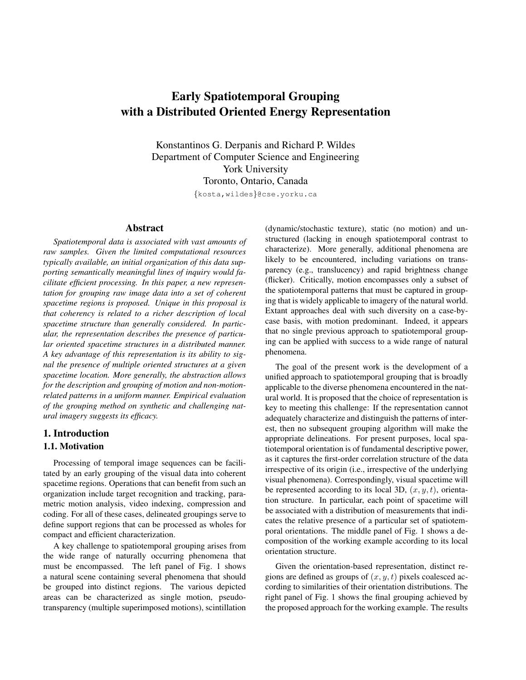# Early Spatiotemporal Grouping with a Distributed Oriented Energy Representation

Konstantinos G. Derpanis and Richard P. Wildes Department of Computer Science and Engineering York University Toronto, Ontario, Canada

{kosta,wildes}@cse.yorku.ca

# Abstract

*Spatiotemporal data is associated with vast amounts of raw samples. Given the limited computational resources typically available, an initial organization of this data supporting semantically meaningful lines of inquiry would facilitate efficient processing. In this paper, a new representation for grouping raw image data into a set of coherent spacetime regions is proposed. Unique in this proposal is that coherency is related to a richer description of local spacetime structure than generally considered. In particular, the representation describes the presence of particular oriented spacetime structures in a distributed manner. A key advantage of this representation is its ability to signal the presence of multiple oriented structures at a given spacetime location. More generally, the abstraction allows for the description and grouping of motion and non-motionrelated patterns in a uniform manner. Empirical evaluation of the grouping method on synthetic and challenging natural imagery suggests its efficacy.*

## 1. Introduction

## 1.1. Motivation

Processing of temporal image sequences can be facilitated by an early grouping of the visual data into coherent spacetime regions. Operations that can benefit from such an organization include target recognition and tracking, parametric motion analysis, video indexing, compression and coding. For all of these cases, delineated groupings serve to define support regions that can be processed as wholes for compact and efficient characterization.

A key challenge to spatiotemporal grouping arises from the wide range of naturally occurring phenomena that must be encompassed. The left panel of Fig. 1 shows a natural scene containing several phenomena that should be grouped into distinct regions. The various depicted areas can be characterized as single motion, pseudotransparency (multiple superimposed motions), scintillation

(dynamic/stochastic texture), static (no motion) and unstructured (lacking in enough spatiotemporal contrast to characterize). More generally, additional phenomena are likely to be encountered, including variations on transparency (e.g., translucency) and rapid brightness change (flicker). Critically, motion encompasses only a subset of the spatiotemporal patterns that must be captured in grouping that is widely applicable to imagery of the natural world. Extant approaches deal with such diversity on a case-bycase basis, with motion predominant. Indeed, it appears that no single previous approach to spatiotemporal grouping can be applied with success to a wide range of natural phenomena.

The goal of the present work is the development of a unified approach to spatiotemporal grouping that is broadly applicable to the diverse phenomena encountered in the natural world. It is proposed that the choice of representation is key to meeting this challenge: If the representation cannot adequately characterize and distinguish the patterns of interest, then no subsequent grouping algorithm will make the appropriate delineations. For present purposes, local spatiotemporal orientation is of fundamental descriptive power, as it captures the first-order correlation structure of the data irrespective of its origin (i.e., irrespective of the underlying visual phenomena). Correspondingly, visual spacetime will be represented according to its local 3D,  $(x, y, t)$ , orientation structure. In particular, each point of spacetime will be associated with a distribution of measurements that indicates the relative presence of a particular set of spatiotemporal orientations. The middle panel of Fig. 1 shows a decomposition of the working example according to its local orientation structure.

Given the orientation-based representation, distinct regions are defined as groups of  $(x, y, t)$  pixels coalesced according to similarities of their orientation distributions. The right panel of Fig. 1 shows the final grouping achieved by the proposed approach for the working example. The results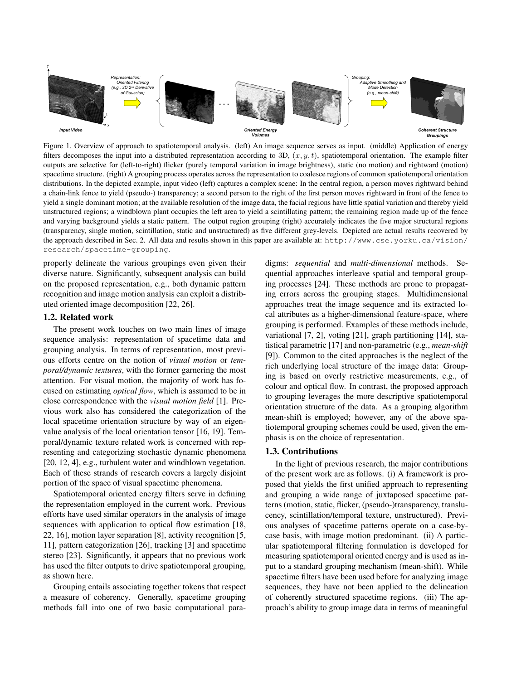

Figure 1. Overview of approach to spatiotemporal analysis. (left) An image sequence serves as input. (middle) Application of energy filters decomposes the input into a distributed representation according to 3D,  $(x, y, t)$ , spatiotemporal orientation. The example filter outputs are selective for (left-to-right) flicker (purely temporal variation in image brightness), static (no motion) and rightward (motion) spacetime structure. (right) A grouping process operates across the representation to coalesce regions of common spatiotemporal orientation distributions. In the depicted example, input video (left) captures a complex scene: In the central region, a person moves rightward behind a chain-link fence to yield (pseudo-) transparency; a second person to the right of the first person moves rightward in front of the fence to yield a single dominant motion; at the available resolution of the image data, the facial regions have little spatial variation and thereby yield unstructured regions; a windblown plant occupies the left area to yield a scintillating pattern; the remaining region made up of the fence and varying background yields a static pattern. The output region grouping (right) accurately indicates the five major structural regions (transparency, single motion, scintillation, static and unstructured) as five different grey-levels. Depicted are actual results recovered by the approach described in Sec. 2. All data and results shown in this paper are available at: http://www.cse.yorku.ca/vision/ research/spacetime-grouping.

properly delineate the various groupings even given their diverse nature. Significantly, subsequent analysis can build on the proposed representation, e.g., both dynamic pattern recognition and image motion analysis can exploit a distributed oriented image decomposition [22, 26].

#### 1.2. Related work

The present work touches on two main lines of image sequence analysis: representation of spacetime data and grouping analysis. In terms of representation, most previous efforts centre on the notion of *visual motion* or *temporal/dynamic textures*, with the former garnering the most attention. For visual motion, the majority of work has focused on estimating *optical flow*, which is assumed to be in close correspondence with the *visual motion field* [1]. Previous work also has considered the categorization of the local spacetime orientation structure by way of an eigenvalue analysis of the local orientation tensor [16, 19]. Temporal/dynamic texture related work is concerned with representing and categorizing stochastic dynamic phenomena [20, 12, 4], e.g., turbulent water and windblown vegetation. Each of these strands of research covers a largely disjoint portion of the space of visual spacetime phenomena.

Spatiotemporal oriented energy filters serve in defining the representation employed in the current work. Previous efforts have used similar operators in the analysis of image sequences with application to optical flow estimation [18, 22, 16], motion layer separation [8], activity recognition [5, 11], pattern categorization [26], tracking [3] and spacetime stereo [23]. Significantly, it appears that no previous work has used the filter outputs to drive spatiotemporal grouping, as shown here.

Grouping entails associating together tokens that respect a measure of coherency. Generally, spacetime grouping methods fall into one of two basic computational paradigms: *sequential* and *multi-dimensional* methods. Sequential approaches interleave spatial and temporal grouping processes [24]. These methods are prone to propagating errors across the grouping stages. Multidimensional approaches treat the image sequence and its extracted local attributes as a higher-dimensional feature-space, where grouping is performed. Examples of these methods include, variational [7, 2], voting [21], graph partitioning [14], statistical parametric [17] and non-parametric (e.g., *mean-shift* [9]). Common to the cited approaches is the neglect of the rich underlying local structure of the image data: Grouping is based on overly restrictive measurements, e.g., of colour and optical flow. In contrast, the proposed approach to grouping leverages the more descriptive spatiotemporal orientation structure of the data. As a grouping algorithm mean-shift is employed; however, any of the above spatiotemporal grouping schemes could be used, given the emphasis is on the choice of representation.

#### 1.3. Contributions

In the light of previous research, the major contributions of the present work are as follows. (i) A framework is proposed that yields the first unified approach to representing and grouping a wide range of juxtaposed spacetime patterns (motion, static, flicker, (pseudo-)transparency, translucency, scintillation/temporal texture, unstructured). Previous analyses of spacetime patterns operate on a case-bycase basis, with image motion predominant. (ii) A particular spatiotemporal filtering formulation is developed for measuring spatiotemporal oriented energy and is used as input to a standard grouping mechanism (mean-shift). While spacetime filters have been used before for analyzing image sequences, they have not been applied to the delineation of coherently structured spacetime regions. (iii) The approach's ability to group image data in terms of meaningful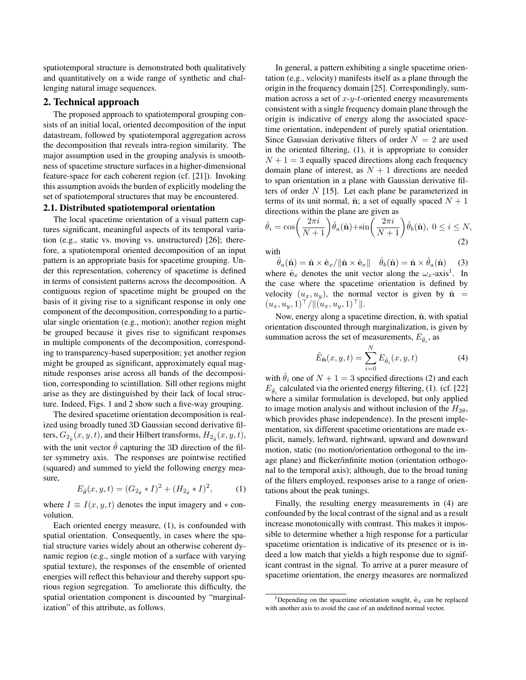spatiotemporal structure is demonstrated both qualitatively and quantitatively on a wide range of synthetic and challenging natural image sequences.

## 2. Technical approach

The proposed approach to spatiotemporal grouping consists of an initial local, oriented decomposition of the input datastream, followed by spatiotemporal aggregation across the decomposition that reveals intra-region similarity. The major assumption used in the grouping analysis is smoothness of spacetime structure surfaces in a higher-dimensional feature-space for each coherent region (cf. [21]). Invoking this assumption avoids the burden of explicitly modeling the set of spatiotemporal structures that may be encountered.

## 2.1. Distributed spatiotemporal orientation

The local spacetime orientation of a visual pattern captures significant, meaningful aspects of its temporal variation (e.g., static vs. moving vs. unstructured) [26]; therefore, a spatiotemporal oriented decomposition of an input pattern is an appropriate basis for spacetime grouping. Under this representation, coherency of spacetime is defined in terms of consistent patterns across the decomposition. A contiguous region of spacetime might be grouped on the basis of it giving rise to a significant response in only one component of the decomposition, corresponding to a particular single orientation (e.g., motion); another region might be grouped because it gives rise to significant responses in multiple components of the decomposition, corresponding to transparency-based superposition; yet another region might be grouped as significant, approximately equal magnitude responses arise across all bands of the decomposition, corresponding to scintillation. Sill other regions might arise as they are distinguished by their lack of local structure. Indeed, Figs. 1 and 2 show such a five-way grouping.

The desired spacetime orientation decomposition is realized using broadly tuned 3D Gaussian second derivative filters,  $G_{2_{\hat{\theta}}}(x,y,t)$ , and their Hilbert transforms,  $H_{2_{\hat{\theta}}}(x,y,t),$ with the unit vector  $\hat{\theta}$  capturing the 3D direction of the filter symmetry axis. The responses are pointwise rectified (squared) and summed to yield the following energy measure,

$$
E_{\hat{\theta}}(x, y, t) = (G_{2_{\hat{\theta}}} * I)^2 + (H_{2_{\hat{\theta}}} * I)^2, \quad (1)
$$

where  $I \equiv I(x, y, t)$  denotes the input imagery and  $*$  convolution.

Each oriented energy measure, (1), is confounded with spatial orientation. Consequently, in cases where the spatial structure varies widely about an otherwise coherent dynamic region (e.g., single motion of a surface with varying spatial texture), the responses of the ensemble of oriented energies will reflect this behaviour and thereby support spurious region segregation. To ameliorate this difficulty, the spatial orientation component is discounted by "marginalization" of this attribute, as follows.

In general, a pattern exhibiting a single spacetime orientation (e.g., velocity) manifests itself as a plane through the origin in the frequency domain [25]. Correspondingly, summation across a set of  $x-y-t$ -oriented energy measurements consistent with a single frequency domain plane through the origin is indicative of energy along the associated spacetime orientation, independent of purely spatial orientation. Since Gaussian derivative filters of order  $N = 2$  are used in the oriented filtering, (1), it is appropriate to consider  $N + 1 = 3$  equally spaced directions along each frequency domain plane of interest, as  $N + 1$  directions are needed to span orientation in a plane with Gaussian derivative filters of order  $N$  [15]. Let each plane be parameterized in terms of its unit normal,  $\hat{\mathbf{n}}$ ; a set of equally spaced  $N + 1$ directions within the plane are given as

$$
\hat{\theta}_i = \cos\left(\frac{2\pi i}{N+1}\right) \hat{\theta}_a(\hat{\mathbf{n}}) + \sin\left(\frac{2\pi i}{N+1}\right) \hat{\theta}_b(\hat{\mathbf{n}}), \ 0 \le i \le N,
$$
\n(2)

with<br> $\hat{\theta}_a(\hat{\mathbf{n}}) = \hat{\mathbf{n}} \times \hat{\mathbf{e}}_x / ||\hat{\mathbf{n}} \times \hat{\mathbf{e}}_x|| \quad \hat{\theta}_b(\hat{\mathbf{n}}) = \hat{\mathbf{n}} \times \hat{\theta}_a(\hat{\mathbf{n}})$  (3) where  $\hat{\mathbf{e}}_x$  denotes the unit vector along the  $\omega_x$ -axis<sup>1</sup>. In the case where the spacetime orientation is defined by velocity  $(u_x, u_y)$ , the normal vector is given by  $\hat{\mathbf{n}} =$  $(u_x, u_y, 1)$ <sup> $\mid$ </sup> / $\parallel$  $(u_x, u_y, 1)$ <sup> $\mid$ </sup> $\parallel$ .

Now, energy along a spacetime direction,  $\hat{\mathbf{n}}$ , with spatial orientation discounted through marginalization, is given by summation across the set of measurements,  $E_{\hat{\theta}_i}$ , as

$$
\tilde{E}_{\hat{\mathbf{n}}}(x, y, t) = \sum_{i=0}^{N} E_{\hat{\theta}_i}(x, y, t)
$$
\n(4)

with  $\hat{\theta}_i$  one of  $N+1=3$  specified directions (2) and each  $E_{\hat{\theta}_i}$  calculated via the oriented energy filtering, (1). (cf. [22] where a similar formulation is developed, but only applied to image motion analysis and without inclusion of the  $H_{2\theta}$ , which provides phase independence). In the present implementation, six different spacetime orientations are made explicit, namely, leftward, rightward, upward and downward motion, static (no motion/orientation orthogonal to the image plane) and flicker/infinite motion (orientation orthogonal to the temporal axis); although, due to the broad tuning of the filters employed, responses arise to a range of orientations about the peak tunings.

Finally, the resulting energy measurements in (4) are confounded by the local contrast of the signal and as a result increase monotonically with contrast. This makes it impossible to determine whether a high response for a particular spacetime orientation is indicative of its presence or is indeed a low match that yields a high response due to significant contrast in the signal. To arrive at a purer measure of spacetime orientation, the energy measures are normalized

<sup>&</sup>lt;sup>1</sup>Depending on the spacetime orientation sought,  $\hat{\mathbf{e}}_x$  can be replaced with another axis to avoid the case of an undefined normal vector.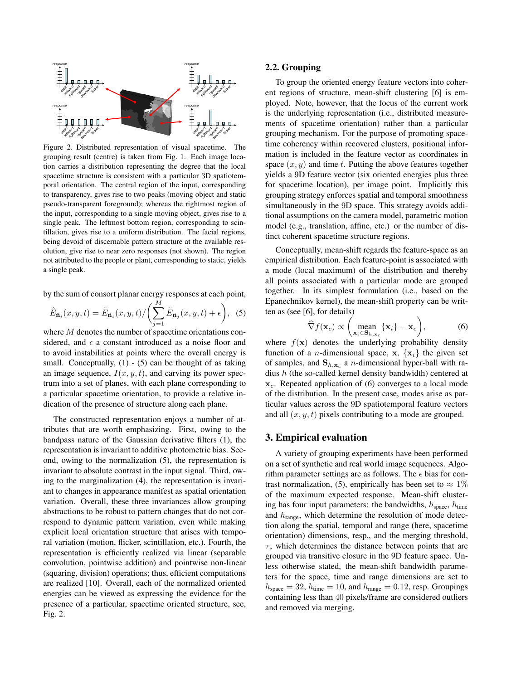

Figure 2. Distributed representation of visual spacetime. The grouping result (centre) is taken from Fig. 1. Each image location carries a distribution representing the degree that the local spacetime structure is consistent with a particular 3D spatiotemporal orientation. The central region of the input, corresponding to transparency, gives rise to two peaks (moving object and static pseudo-transparent foreground); whereas the rightmost region of the input, corresponding to a single moving object, gives rise to a single peak. The leftmost bottom region, corresponding to scintillation, gives rise to a uniform distribution. The facial regions, being devoid of discernable pattern structure at the available resolution, give rise to near zero responses (not shown). The region not attributed to the people or plant, corresponding to static, yields a single peak.

by the sum of consort planar energy responses at each point,

$$
\hat{E}_{\hat{\mathbf{n}}_i}(x, y, t) = \tilde{E}_{\hat{\mathbf{n}}_i}(x, y, t) / \left(\sum_{j=1}^M \tilde{E}_{\hat{\mathbf{n}}_j}(x, y, t) + \epsilon\right), \tag{5}
$$

where M denotes the number of spacetime orientations considered, and  $\epsilon$  a constant introduced as a noise floor and to avoid instabilities at points where the overall energy is small. Conceptually,  $(1)$  -  $(5)$  can be thought of as taking an image sequence,  $I(x, y, t)$ , and carving its power spectrum into a set of planes, with each plane corresponding to a particular spacetime orientation, to provide a relative indication of the presence of structure along each plane.

The constructed representation enjoys a number of attributes that are worth emphasizing. First, owing to the bandpass nature of the Gaussian derivative filters (1), the representation is invariant to additive photometric bias. Second, owing to the normalization (5), the representation is invariant to absolute contrast in the input signal. Third, owing to the marginalization (4), the representation is invariant to changes in appearance manifest as spatial orientation variation. Overall, these three invariances allow grouping abstractions to be robust to pattern changes that do not correspond to dynamic pattern variation, even while making explicit local orientation structure that arises with temporal variation (motion, flicker, scintillation, etc.). Fourth, the representation is efficiently realized via linear (separable convolution, pointwise addition) and pointwise non-linear (squaring, division) operations; thus, efficient computations are realized [10]. Overall, each of the normalized oriented energies can be viewed as expressing the evidence for the presence of a particular, spacetime oriented structure, see, Fig. 2.

#### 2.2. Grouping

To group the oriented energy feature vectors into coherent regions of structure, mean-shift clustering [6] is employed. Note, however, that the focus of the current work is the underlying representation (i.e., distributed measurements of spacetime orientation) rather than a particular grouping mechanism. For the purpose of promoting spacetime coherency within recovered clusters, positional information is included in the feature vector as coordinates in space  $(x, y)$  and time t. Putting the above features together yields a 9D feature vector (six oriented energies plus three for spacetime location), per image point. Implicitly this grouping strategy enforces spatial and temporal smoothness simultaneously in the 9D space. This strategy avoids additional assumptions on the camera model, parametric motion model (e.g., translation, affine, etc.) or the number of distinct coherent spacetime structure regions.

Conceptually, mean-shift regards the feature-space as an empirical distribution. Each feature-point is associated with a mode (local maximum) of the distribution and thereby all points associated with a particular mode are grouped together. In its simplest formulation (i.e., based on the Epanechnikov kernel), the mean-shift property can be written as (see [6], for details)

$$
\widehat{\nabla} f(\mathbf{x}_c) \propto \left( \operatorname{mean}_{\mathbf{x}_i \in \mathbf{S}_{h, \mathbf{x}_c}} \{ \mathbf{x}_i \} - \mathbf{x}_c \right),\tag{6}
$$

where  $f(x)$  denotes the underlying probability density function of a *n*-dimensional space, **x**,  $\{x_i\}$  the given set of samples, and  $\mathbf{S}_{h,\mathbf{x}_c}$  a *n*-dimensional hyper-ball with radius h (the so-called kernel density bandwidth) centered at **x**<sub>c</sub>. Repeated application of (6) converges to a local mode of the distribution. In the present case, modes arise as particular values across the 9D spatiotemporal feature vectors and all  $(x, y, t)$  pixels contributing to a mode are grouped.

#### 3. Empirical evaluation

A variety of grouping experiments have been performed on a set of synthetic and real world image sequences. Algorithm parameter settings are as follows. The  $\epsilon$  bias for contrast normalization, (5), empirically has been set to  $\approx 1\%$ of the maximum expected response. Mean-shift clustering has four input parameters: the bandwidths,  $h_{\text{space}}$ ,  $h_{\text{time}}$ and  $h_{\text{range}}$ , which determine the resolution of mode detection along the spatial, temporal and range (here, spacetime orientation) dimensions, resp., and the merging threshold,  $\tau$ , which determines the distance between points that are grouped via transitive closure in the 9D feature space. Unless otherwise stated, the mean-shift bandwidth parameters for the space, time and range dimensions are set to  $h_{\text{space}} = 32$ ,  $h_{\text{time}} = 10$ , and  $h_{\text{range}} = 0.12$ , resp. Groupings containing less than 40 pixels/frame are considered outliers and removed via merging.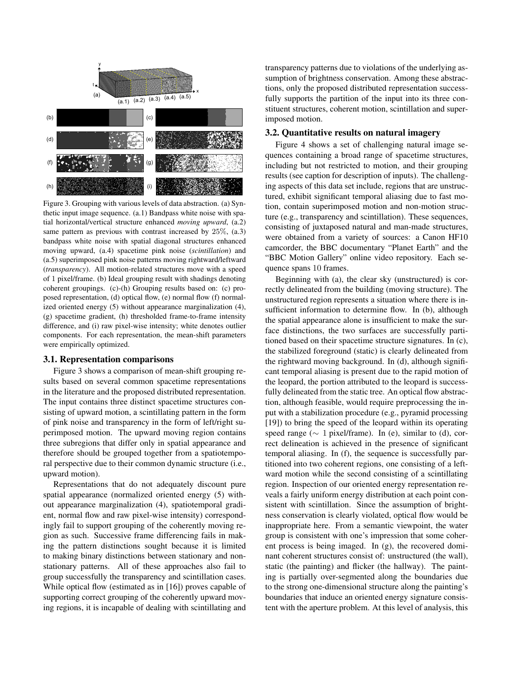

Figure 3. Grouping with various levels of data abstraction. (a) Synthetic input image sequence. (a.1) Bandpass white noise with spatial horizontal/vertical structure enhanced *moving upward*, (a.2) same pattern as previous with contrast increased by 25%, (a.3) bandpass white noise with spatial diagonal structures enhanced moving upward, (a.4) spacetime pink noise (*scintillation*) and (a.5) superimposed pink noise patterns moving rightward/leftward (*transparency*). All motion-related structures move with a speed of 1 pixel/frame. (b) Ideal grouping result with shadings denoting coherent groupings. (c)-(h) Grouping results based on: (c) proposed representation, (d) optical flow, (e) normal flow (f) normalized oriented energy (5) without appearance marginalization (4), (g) spacetime gradient, (h) thresholded frame-to-frame intensity difference, and (i) raw pixel-wise intensity; white denotes outlier components. For each representation, the mean-shift parameters were empirically optimized.

#### 3.1. Representation comparisons

Figure 3 shows a comparison of mean-shift grouping results based on several common spacetime representations in the literature and the proposed distributed representation. The input contains three distinct spacetime structures consisting of upward motion, a scintillating pattern in the form of pink noise and transparency in the form of left/right superimposed motion. The upward moving region contains three subregions that differ only in spatial appearance and therefore should be grouped together from a spatiotemporal perspective due to their common dynamic structure (i.e., upward motion).

Representations that do not adequately discount pure spatial appearance (normalized oriented energy (5) without appearance marginalization (4), spatiotemporal gradient, normal flow and raw pixel-wise intensity) correspondingly fail to support grouping of the coherently moving region as such. Successive frame differencing fails in making the pattern distinctions sought because it is limited to making binary distinctions between stationary and nonstationary patterns. All of these approaches also fail to group successfully the transparency and scintillation cases. While optical flow (estimated as in [16]) proves capable of supporting correct grouping of the coherently upward moving regions, it is incapable of dealing with scintillating and transparency patterns due to violations of the underlying assumption of brightness conservation. Among these abstractions, only the proposed distributed representation successfully supports the partition of the input into its three constituent structures, coherent motion, scintillation and superimposed motion.

#### 3.2. Quantitative results on natural imagery

Figure 4 shows a set of challenging natural image sequences containing a broad range of spacetime structures, including but not restricted to motion, and their grouping results (see caption for description of inputs). The challenging aspects of this data set include, regions that are unstructured, exhibit significant temporal aliasing due to fast motion, contain superimposed motion and non-motion structure (e.g., transparency and scintillation). These sequences, consisting of juxtaposed natural and man-made structures, were obtained from a variety of sources: a Canon HF10 camcorder, the BBC documentary "Planet Earth" and the "BBC Motion Gallery" online video repository. Each sequence spans 10 frames.

Beginning with (a), the clear sky (unstructured) is correctly delineated from the building (moving structure). The unstructured region represents a situation where there is insufficient information to determine flow. In (b), although the spatial appearance alone is insufficient to make the surface distinctions, the two surfaces are successfully partitioned based on their spacetime structure signatures. In (c), the stabilized foreground (static) is clearly delineated from the rightward moving background. In (d), although significant temporal aliasing is present due to the rapid motion of the leopard, the portion attributed to the leopard is successfully delineated from the static tree. An optical flow abstraction, although feasible, would require preprocessing the input with a stabilization procedure (e.g., pyramid processing [19]) to bring the speed of the leopard within its operating speed range ( $\sim 1$  pixel/frame). In (e), similar to (d), correct delineation is achieved in the presence of significant temporal aliasing. In (f), the sequence is successfully partitioned into two coherent regions, one consisting of a leftward motion while the second consisting of a scintillating region. Inspection of our oriented energy representation reveals a fairly uniform energy distribution at each point consistent with scintillation. Since the assumption of brightness conservation is clearly violated, optical flow would be inappropriate here. From a semantic viewpoint, the water group is consistent with one's impression that some coherent process is being imaged. In (g), the recovered dominant coherent structures consist of: unstructured (the wall), static (the painting) and flicker (the hallway). The painting is partially over-segmented along the boundaries due to the strong one-dimensional structure along the painting's boundaries that induce an oriented energy signature consistent with the aperture problem. At this level of analysis, this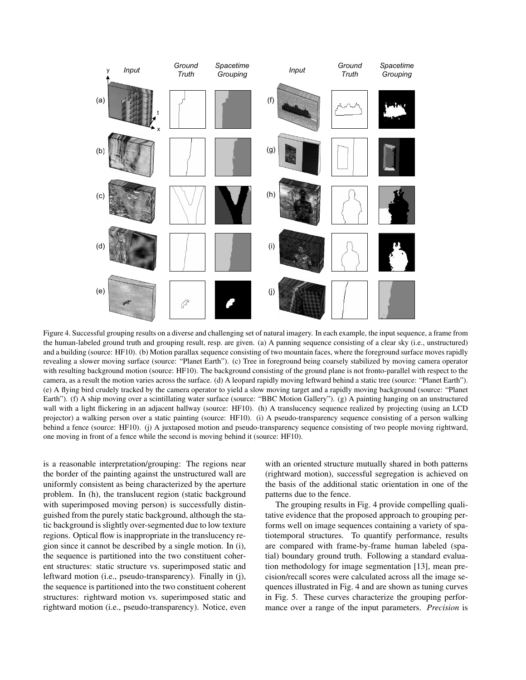

Figure 4. Successful grouping results on a diverse and challenging set of natural imagery. In each example, the input sequence, a frame from the human-labeled ground truth and grouping result, resp. are given. (a) A panning sequence consisting of a clear sky (i.e., unstructured) and a building (source: HF10). (b) Motion parallax sequence consisting of two mountain faces, where the foreground surface moves rapidly revealing a slower moving surface (source: "Planet Earth"). (c) Tree in foreground being coarsely stabilized by moving camera operator with resulting background motion (source: HF10). The background consisting of the ground plane is not fronto-parallel with respect to the camera, as a result the motion varies across the surface. (d) A leopard rapidly moving leftward behind a static tree (source: "Planet Earth"). (e) A flying bird crudely tracked by the camera operator to yield a slow moving target and a rapidly moving background (source: "Planet Earth"). (f) A ship moving over a scintillating water surface (source: "BBC Motion Gallery"). (g) A painting hanging on an unstructured wall with a light flickering in an adjacent hallway (source: HF10). (h) A translucency sequence realized by projecting (using an LCD projector) a walking person over a static painting (source: HF10). (i) A pseudo-transparency sequence consisting of a person walking behind a fence (source: HF10). (j) A juxtaposed motion and pseudo-transparency sequence consisting of two people moving rightward, one moving in front of a fence while the second is moving behind it (source: HF10).

is a reasonable interpretation/grouping: The regions near the border of the painting against the unstructured wall are uniformly consistent as being characterized by the aperture problem. In (h), the translucent region (static background with superimposed moving person) is successfully distinguished from the purely static background, although the static background is slightly over-segmented due to low texture regions. Optical flow is inappropriate in the translucency region since it cannot be described by a single motion. In (i), the sequence is partitioned into the two constituent coherent structures: static structure vs. superimposed static and leftward motion (i.e., pseudo-transparency). Finally in (j), the sequence is partitioned into the two constituent coherent structures: rightward motion vs. superimposed static and rightward motion (i.e., pseudo-transparency). Notice, even with an oriented structure mutually shared in both patterns (rightward motion), successful segregation is achieved on the basis of the additional static orientation in one of the patterns due to the fence.

The grouping results in Fig. 4 provide compelling qualitative evidence that the proposed approach to grouping performs well on image sequences containing a variety of spatiotemporal structures. To quantify performance, results are compared with frame-by-frame human labeled (spatial) boundary ground truth. Following a standard evaluation methodology for image segmentation [13], mean precision/recall scores were calculated across all the image sequences illustrated in Fig. 4 and are shown as tuning curves in Fig. 5. These curves characterize the grouping performance over a range of the input parameters. *Precision* is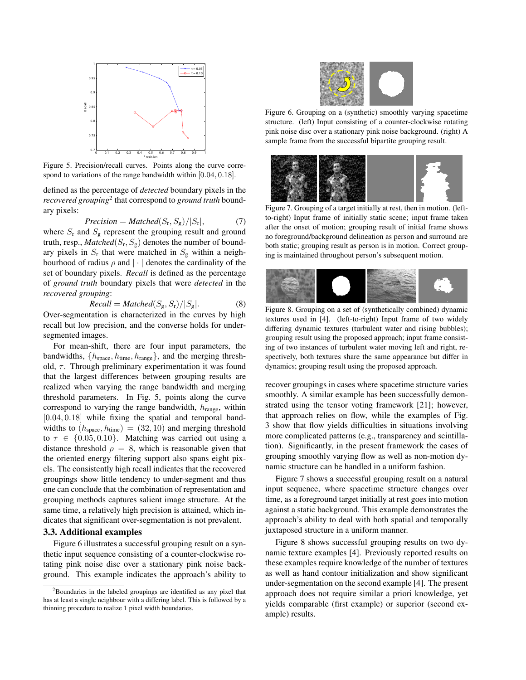

Figure 5. Precision/recall curves. Points along the curve correspond to variations of the range bandwidth within [0.04, 0.18].

defined as the percentage of *detected* boundary pixels in the *recovered grouping*<sup>2</sup> that correspond to *ground truth* boundary pixels:

$$
Precision = Matched(Sr, Sg)/|Sr|,
$$
 (7)

where  $S_r$  and  $S_g$  represent the grouping result and ground truth, resp., *Matched*( $S_r$ ,  $S_g$ ) denotes the number of boundary pixels in  $S_r$  that were matched in  $S_g$  within a neighbourhood of radius  $\rho$  and  $|\cdot|$  denotes the cardinality of the set of boundary pixels. *Recall* is defined as the percentage of *ground truth* boundary pixels that were *detected* in the *recovered grouping*:

$$
Recall = Matched(S_g, S_r)/|S_g|.
$$
 (8)

Over-segmentation is characterized in the curves by high recall but low precision, and the converse holds for undersegmented images.

For mean-shift, there are four input parameters, the bandwidths,  $\{h_{\text{space}}, h_{\text{time}}, h_{\text{range}}\}$ , and the merging threshold,  $\tau$ . Through preliminary experimentation it was found that the largest differences between grouping results are realized when varying the range bandwidth and merging threshold parameters. In Fig. 5, points along the curve correspond to varying the range bandwidth,  $h_{\text{range}}$ , within [0.04, 0.18] while fixing the spatial and temporal bandwidths to  $(h_{\text{space}}, h_{\text{time}}) = (32, 10)$  and merging threshold to  $\tau \in \{0.05, 0.10\}$ . Matching was carried out using a distance threshold  $\rho = 8$ , which is reasonable given that the oriented energy filtering support also spans eight pixels. The consistently high recall indicates that the recovered groupings show little tendency to under-segment and thus one can conclude that the combination of representation and grouping methods captures salient image structure. At the same time, a relatively high precision is attained, which indicates that significant over-segmentation is not prevalent.

## 3.3. Additional examples

Figure 6 illustrates a successful grouping result on a synthetic input sequence consisting of a counter-clockwise rotating pink noise disc over a stationary pink noise background. This example indicates the approach's ability to



Figure 6. Grouping on a (synthetic) smoothly varying spacetime structure. (left) Input consisting of a counter-clockwise rotating pink noise disc over a stationary pink noise background. (right) A sample frame from the successful bipartite grouping result.



Figure 7. Grouping of a target initially at rest, then in motion. (leftto-right) Input frame of initially static scene; input frame taken after the onset of motion; grouping result of initial frame shows no foreground/background delineation as person and surround are both static; grouping result as person is in motion. Correct grouping is maintained throughout person's subsequent motion.



Figure 8. Grouping on a set of (synthetically combined) dynamic textures used in [4]. (left-to-right) Input frame of two widely differing dynamic textures (turbulent water and rising bubbles); grouping result using the proposed approach; input frame consisting of two instances of turbulent water moving left and right, respectively, both textures share the same appearance but differ in dynamics; grouping result using the proposed approach.

recover groupings in cases where spacetime structure varies smoothly. A similar example has been successfully demonstrated using the tensor voting framework [21]; however, that approach relies on flow, while the examples of Fig. 3 show that flow yields difficulties in situations involving more complicated patterns (e.g., transparency and scintillation). Significantly, in the present framework the cases of grouping smoothly varying flow as well as non-motion dynamic structure can be handled in a uniform fashion.

Figure 7 shows a successful grouping result on a natural input sequence, where spacetime structure changes over time, as a foreground target initially at rest goes into motion against a static background. This example demonstrates the approach's ability to deal with both spatial and temporally juxtaposed structure in a uniform manner.

Figure 8 shows successful grouping results on two dynamic texture examples [4]. Previously reported results on these examples require knowledge of the number of textures as well as hand contour initialization and show significant under-segmentation on the second example [4]. The present approach does not require similar a priori knowledge, yet yields comparable (first example) or superior (second example) results.

<sup>2</sup>Boundaries in the labeled groupings are identified as any pixel that has at least a single neighbour with a differing label. This is followed by a thinning procedure to realize 1 pixel width boundaries.